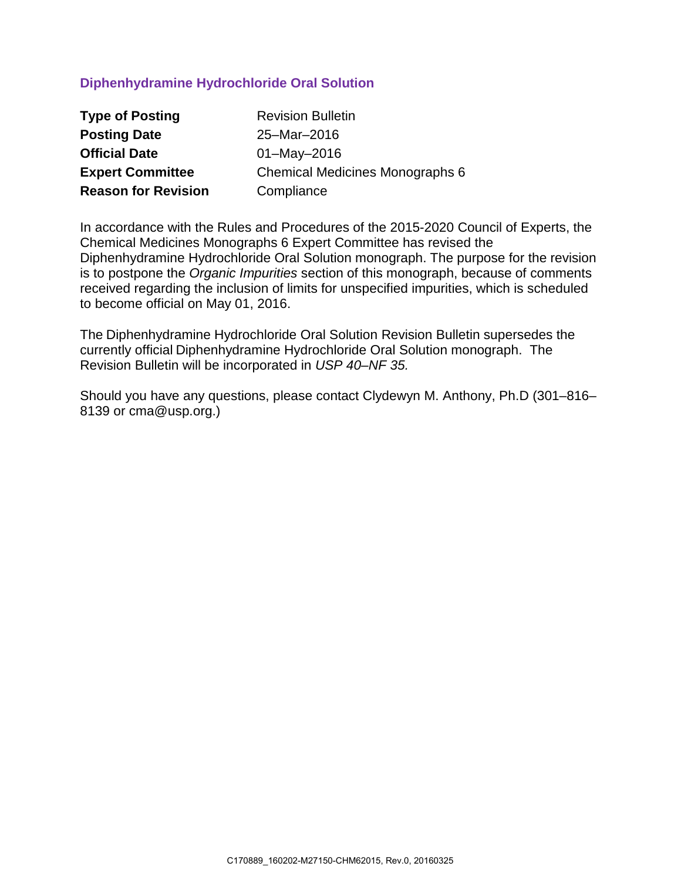# **Diphenhydramine Hydrochloride Oral Solution**

| <b>Type of Posting</b>     | <b>Revision Bulletin</b>        |
|----------------------------|---------------------------------|
| <b>Posting Date</b>        | 25-Mar-2016                     |
| <b>Official Date</b>       | $01 - May - 2016$               |
| <b>Expert Committee</b>    | Chemical Medicines Monographs 6 |
| <b>Reason for Revision</b> | Compliance                      |

In accordance with the Rules and Procedures of the 2015-2020 Council of Experts, the Chemical Medicines Monographs 6 Expert Committee has revised the Diphenhydramine Hydrochloride Oral Solution monograph. The purpose for the revision is to postpone the *Organic Impurities* section of this monograph, because of comments received regarding the inclusion of limits for unspecified impurities, which is scheduled to become official on May 01, 2016.

The Diphenhydramine Hydrochloride Oral Solution Revision Bulletin supersedes the currently official Diphenhydramine Hydrochloride Oral Solution monograph. The Revision Bulletin will be incorporated in *USP 40–NF 35.*

Should you have any questions, please contact Clydewyn M. Anthony, Ph.D (301–816– 8139 or cma@usp.org.)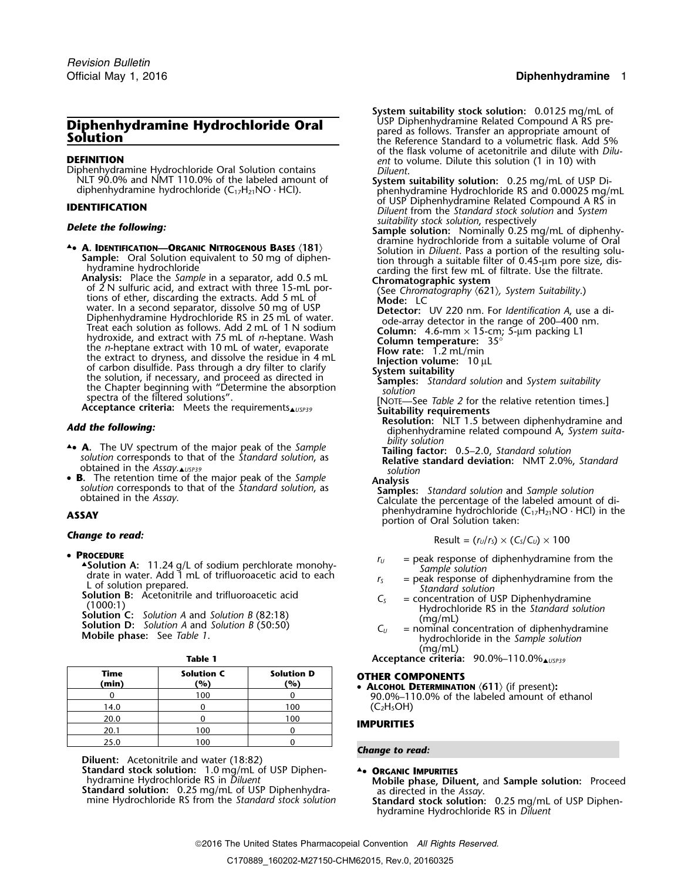### Official May 1, 2016 **Diphenhydramine** 1

# **Diphenhydramine Hydrochloride Oral** <sup>USP Diphenhydramine Related Compound A RS pre-<br> **Solution Solution Solution Exerce Standard to a volumetric flask.** Add 5%</sup>

**DEFINITION**<br>Diphenhydramine Hydrochloride Oral Solution contains *Diluent*.<br>NLT 90.0% and NMT 110.0% of the labeled amount of **System suitability solution:** 0.25 mg/mL of USP

**• A. IDENTIFICATION—ORGANIC NITROGENOUS BASES (181)**<br> **• A. IDENTIFICATION—ORGANIC NITROGENOUS BASES (181)**<br>
Sample: Oral Solution in Diluent. Pass a portion of the resulting solu-<br>
tion formatographic suitable filter of Suitable Chapter beginning with "Determine the absorption<br>spectra of the filtered solutions".<br>**Acceptance criteria:** Meets the requirements<br>**Acceptance criteria:** Meets the requirements<br>**Acter is** Suitability requirements

- **A.** The UV spectrum of the major peak of the Sample **19. Tailing factor:** 0.5–2.0, Standard solution solution corresponds to that of the *Standard solution*, as<br>obtained in the Assay. like standard solution, as<br>**B.** The retention time of the major peak of the *Sample*<br>**Analysis**
- •**s.** The retention time of the major peak of the *Sample*<br>solution corresponds to that of the *Standard solution*, as **Samples:** Standard solution and *Sample solution*<br>Calculate the percentage of the labeled amount of di-

### *Change to read:*

### • PROCEDURE

- **ASolution A:** 11.24 g/L of sodium perchlorate monohy-<br>
drate in water. Add 1 mL of trifluoroacetic acid to each<br>
L of solution prepared.<br>
Solution B: Acetonitrile and trifluoroacetic acid<br>
(1000:1)<br>
Solution C: Solution
- 
- 

|--|--|--|--|--|

| <b>OTHER CON</b><br>• ALCOHOL D    | <b>Solution D</b><br>(%) | <b>Solution C</b><br>(%) | Time<br>(min) |
|------------------------------------|--------------------------|--------------------------|---------------|
| 90.0%-11                           |                          | 100                      |               |
| (C <sub>2</sub> H <sub>5</sub> OH) | 100                      |                          | 14.0          |
|                                    | 100                      |                          | 20.0          |
| <b>IMPURITIES</b>                  |                          | 100                      | 20.1          |
|                                    |                          | 00 ا                     | 25.0          |

**Diluent:** Acetonitrile and water (18:82)

**Standard stock solution:** 1.0 mg/mL of USP Diphen-<br>hydramine Hydrochloride RS in *Diluent* **Allenses** Mobile phase, Dilu

- **System suitability stock solution:** 0.0125 mg/mL of USP Diphenhydramine Related Compound A RS preof the flask volume of acetonitrile and dilute with *Dilu-*
- NLT 90.0% and NMT 110.0% of the labeled amount of **System suitability solution:** 0.25 mg/mL of USP Di- diphenhydramine hydrochloride (C17H21NO · HCl). <sup>p</sup>henhydramine Hydrochloride RS and 0.00025 mg/mL of USP Diphenhydramine Related Compound A RS in **IDENTIFICATION** *Diluent* from the *Standard stock solution* and *System*
- **Delete the following: Suitability stock solution:** Nominally 0.25 mg/mL of diphenhy-4. **A. IDENTIFICATION—ORGANIC NITROGENOUS BASES** (181) dramine hydrochloride from a suitable volume of Oral **4.**<br>Solution in *Diluent*. Pass a portion of the resulting solu-
	-
	-
	-
	-
	-
	-
	-
	-
- **Add the following:**<br>
diphenhydramine related compound A, *System suita-*<br> *bility solution* 
	-
	-

<sup>p</sup>henhydramine hydrochloride (C17H21NO · HCl) in the **ASSAY** portion of Oral Solution taken:

$$
Result = (r_U/r_S) \times (C_S/C_U) \times 100
$$

- $r_U$  = peak response of diphenhydramine from the Sample solution
- 
- 
- (mg/mL)
- **Table 1 Acceptance criteria:** 90.0%–110.0%▲*USP39*

### **OTHER COMPONENTS**

 **ALCOHOL DETERMINATION** 〈**611**〉 (if present)**:** 90.0%–110.0% of the labeled amount of ethanol  $(C_2H_5OH)$ 

*Change to read:*

hydramine Hydrochloride RS in *Diluent* **Mobile phase, Diluent,** and **Sample solution:** Proceed mine Hydrochloride RS from the *Standard stock solution* **Standard stock solution:** 0.25 mg/mL of USP Diphenhydramine Hydrochloride RS in *Diluent*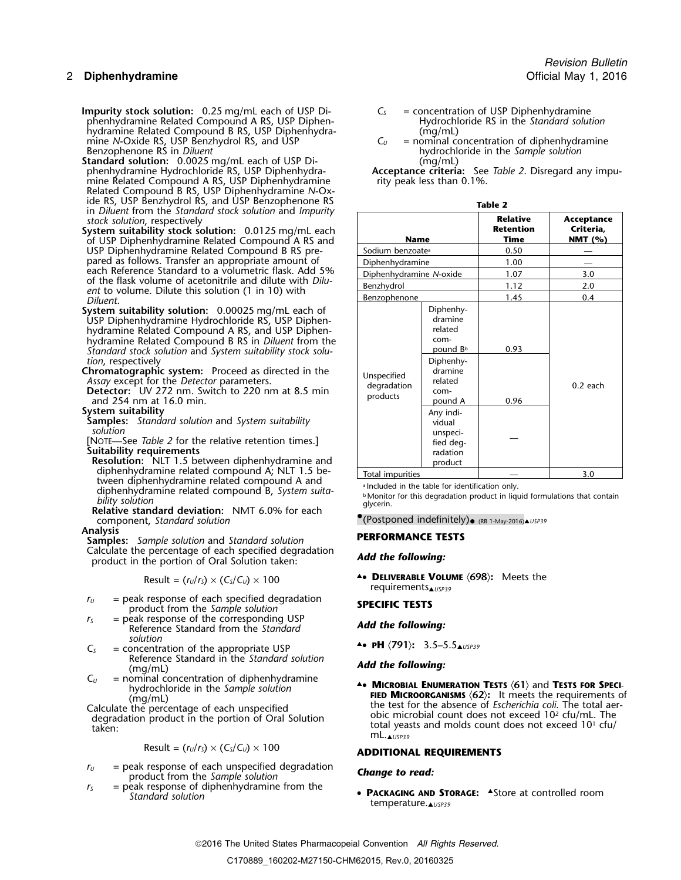### 2 **Diphenhydramine** Official May 1, 2016

**Impurity stock solution:** 0.25 mg/mL each of USP Di- *C<sup>S</sup>* = concentration of USP Diphenhydramine phenhydramine Related Compound A RS, USP Diphen- Hydrochloride RS in the *Standard solution* hydramine Related Compound B RS, USP Diphenhydra-<br>
mine N-Oxide RS, USP Benzhydrol RS, and USP  $C_U =$  nominal concentration of diphenhydramine mine *N*-Oxide RS, USP Benzhydrol RS, and USP *C<sup>U</sup>* = nominal concentration of diphenhydramine

**Standard solution:** 0.0025 mg/mL each of USP Di-<br>
phenhydramine Hydrochloride RS, USP Diphenhydra-<br> **Acceptance criteria:** See Table 2. Disregard any impumine Related Compound A RS, USP Diphenhydramine rity peak less than 0.1%. Related Compound B RS, USP Diphenhydramine *N*-Oxide RS, USP Benzhydrol RS, and USP Benzophenone RS<br>in *Diluent* from the *Standard stock solution* and *Impurity* **contrary and increase the** *L*  $stock$  *solution*, *respectively* 

**System suitability stock solution:** 0.0125 mg/mL each of USP Diphenhydramine Related Compound A RS and USP Diphenhydramine Related Compound B RS prepared as follows. Transfer an appropriate amount of each Reference Standard to a volumetric flask. Add 5% of the flask volume of acetonitrile and dilute with *Dilu-*<br>ent to volume. Dilute this solution (1 in 10) with<br>*Diluent*.

**System suitability solution:** 0.00025 mg/mL each of USP Diphenhydramine Hydrochloride RS, USP Diphenhydramine Related Compound A RS, and USP Diphenhydramine Related Compound B RS in *Diluent* from the  $Standard$  stock solution and *System suitability stock solu-*

*tion*, respectively<br>**Chromatographic system:** Proceed as directed in the

Assay except for the *Detector* parameters.<br>**Detector:** UV 272 nm. Switch to 220 nm at 8.5 min and 254 nm at 16.0 min.

### **System suitability**

**Samples:** *Standard solution* and *System suitability solution solution* unspeci-

[NOTE—See *Table 2* for the relative retention times.] — fied deg-**Suitability requirements** 

**Resolution:** NLT 1.5 between diphenhydramine and diphenhydramine related compound A; NLT 1.5 between diphenhydramine related compound A and<br>diphenhydramine related compound B, Curtan putted a local diphendial in the table for identification only diphenhydramine related compound B, *System suita-*<br>bility solution<br>diversing the other in distant diphenhydramine related compound B, *System suita-* bility solution

.Monitor for this degradation product in liquid formulations that contain *bility solution* <sup>g</sup>lycerin. **Relative standard deviation:** NMT 6.0% for each component, *Standard solution*<br>
• component, *Standard solution*<br>
• **Component**, *Standard solution*<br>
• **PREGRISANCE FECCIONALLY:** 

**Analysis PERFORMANCE TESTS Samples:** *Sample solution* and *Standard solution* Calculate the percentage of each specified degradation *Add the following:* product in the portion of Oral Solution taken:

$$
Result = (r_U/r_S) \times (C_S/C_U) \times 100
$$

- *r*<sub>*U*</sub> = peak response of each specified degradation **SPECIFIC TESTS** product from the *Sample solution*
- *<sup>r</sup><sup>S</sup>* = peak response of the corresponding USP *Add the following:* Reference Standard from the *Standard solution*
- $C_s$  = concentration of the appropriate USP **A PH**  $\langle$ **791**): 3.5–5.5 $\triangle$  USP39 Reference Standard in the *Standard solution Add the following:* (mg/mL)
- $C_U$  = nominal concentration of diphenhydramine <br>hydrochloride in the *Sample solution* **A. MICROBIAL ENUMERATION TESTS (61)** and **TESTS FOR SPECI-**

$$
Result = (r_U/r_S) \times (C_S/C_U) \times 100
$$

- *<sup>r</sup><sup>U</sup>* = peak response of each unspecified degradation *Change to read:* product from the *Sample solution*
- $r<sub>S</sub>$  = peak response of diphenhydramine from the
- *Revision Bulletin*
- 
- Benzophenone RS in *Diluent* hydrochloride in the *Sample solution*

phenhydramine Hydrochloride RS, USP Diphenhydra- **Acceptance criteria:** See *Table 2*. Disregard any impu-

| <b>Name</b>                            |                                                                                                                       | <b>Relative</b><br><b>Retention</b><br><b>Time</b> | Acceptance<br>Criteria,<br>NMT $(% )$ |
|----------------------------------------|-----------------------------------------------------------------------------------------------------------------------|----------------------------------------------------|---------------------------------------|
| Sodium benzoate <sup>a</sup>           |                                                                                                                       | 0.50                                               |                                       |
| <b>Diphenhydramine</b>                 |                                                                                                                       | 1.00                                               |                                       |
| Diphenhydramine N-oxide                |                                                                                                                       | 1.07                                               | 3.0                                   |
| Benzhydrol                             |                                                                                                                       | 1.12                                               | 2.0                                   |
| <b>Benzophenone</b>                    |                                                                                                                       | 1.45                                               | 0.4                                   |
| Unspecified<br>degradation<br>products | Diphenhy-<br>dramine<br>related<br>com-<br>pound B <sup>b</sup><br>Diphenhy-<br>dramine<br>related<br>com-<br>pound A | 0.93<br>0.96                                       | $0.2$ each                            |
|                                        | Any indi-<br>vidual<br>unspeci-<br>fied deg-<br>radation<br>product                                                   |                                                    |                                       |
| Total impurities                       |                                                                                                                       |                                                    | 3.0                                   |

A. DELIVERABLE VOLUME  $\langle 698 \rangle$ : Meets the requirements▲*USP39*

A **MICROBIAL ENUMERATION TESTS** (61) and **TESTS FOR SPECI-**<br>
(mg/mL)<br>
Calculate the percentage of each unspecified<br>
degradation product in the portion of Oral Solution<br>
taken:<br>
the test for the absence of *Escherichia coli* 

## $Result = (r<sub>U</sub>/r<sub>S</sub>) \times (C<sub>S</sub>/C<sub>U</sub>) \times 100$  **ADDITIONAL REQUIREMENTS**

*Standard solution* • **<sup>P</sup>ACKAGING AND STORAGE:** ▲.Store at controlled room temperature.▲*USP39*